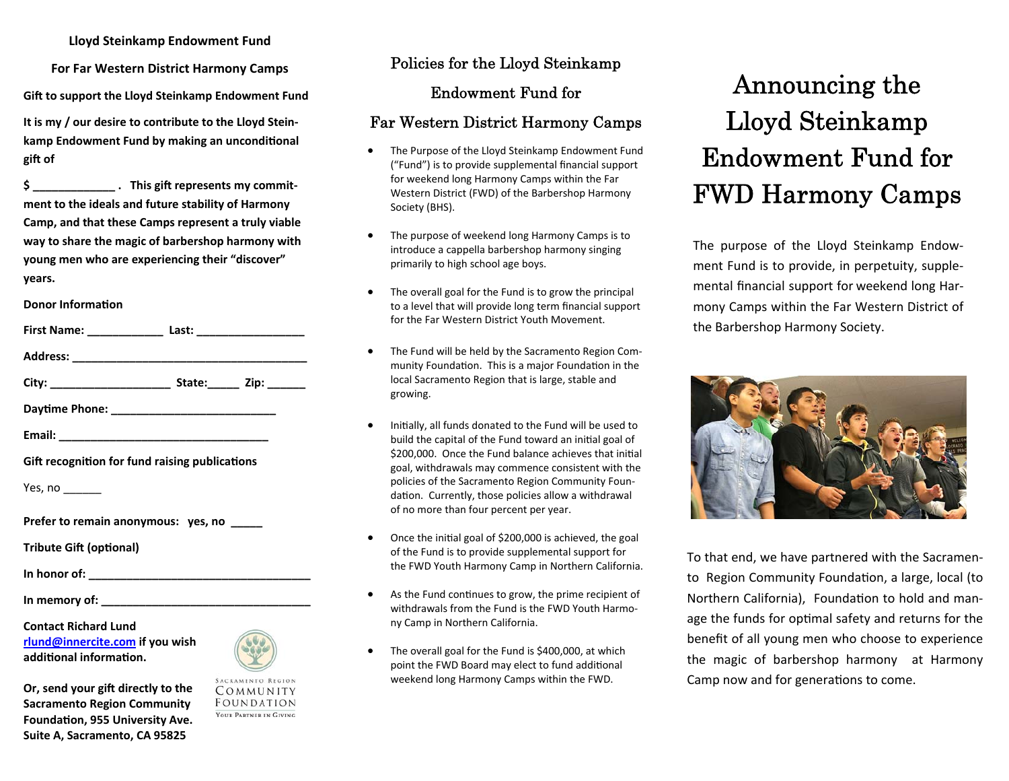#### **Lloyd Steinkamp Endowment Fund**

**For Far Western District Harmony Camps GiŌ to support the Lloyd Steinkamp Endowment Fund It is my / our desire to contribute to the Lloyd Stein‐ kamp Endowment Fund by making an uncondi Ɵonal**

**here here here here** *n* **here** *n n n n n n n n n n n n n n n n n n n n n n n n n n n n n n* **ment to the ideals and future stability of Harmony Camp, and that these Camps represent <sup>a</sup> truly viable way to share the magic of barbershop harmony with young men who are experiencing their "discover" years.**

**Donor InformaƟon**

**gift** of

|                                                                                           | City: ___________________________________ State:__________ Zip: _________ |  |
|-------------------------------------------------------------------------------------------|---------------------------------------------------------------------------|--|
|                                                                                           |                                                                           |  |
|                                                                                           |                                                                           |  |
| Gift recognition for fund raising publications                                            |                                                                           |  |
| Yes, no $\_\_$                                                                            |                                                                           |  |
| Prefer to remain anonymous: yes, no                                                       |                                                                           |  |
| Tribute Gift (optional)                                                                   |                                                                           |  |
|                                                                                           |                                                                           |  |
|                                                                                           |                                                                           |  |
| <b>Contact Richard Lund</b><br>rlund@innercite.com if you wish<br>additional information. |                                                                           |  |

**Or, send your gift directly to the Sacramento Region Community Founda Ɵon, 955 University Ave. Suite A, Sacramento, CA 95825**

## Policies for the Lloyd Steinkamp

#### Endowment Fund for

### Far Western District Harmony Camps

- $\bullet$  The Purpose of the Lloyd Steinkamp Endowment Fund ("Fund") is to provide supplemental financial support for weekend long Harmony Camps within the Far Western District (FWD) of the Barbershop Harmony Society (BHS).
- $\bullet$  The purpose of weekend long Harmony Camps is to introduce <sup>a</sup> cappella barbershop harmony singing primarily to high school age boys.
- $\bullet$  The overall goal for the Fund is to grow the principal to <sup>a</sup> level that will provide long term financial support for the Far Western District Youth Movement.
- $\bullet$  The Fund will be held by the Sacramento Region Com‐ munity Foundation. This is a major Foundation in the local Sacramento Region that is large, stable and growing.
- $\bullet$ Initially, all funds donated to the Fund will be used to build the capital of the Fund toward an initial goal of \$200,000. Once the Fund balance achieves that initial goal, withdrawals may commence consistent with the policies of the Sacramento Region Community Foun‐ dation. Currently, those policies allow a withdrawal of no more than four percent per year.
- $\bullet$ Once the initial goal of \$200,000 is achieved, the goal of the Fund is to provide supplemental support for the FWD Youth Harmony Camp in Northern California.
- $\bullet$ As the Fund continues to grow, the prime recipient of withdrawals from the Fund is the FWD Youth Harmo‐ ny Camp in Northern California.
- $\bullet$  The overall goal for the Fund is \$400,000, at which point the FWD Board may elect to fund additional weekend long Harmony Camps within the FWD.

# Announcing the Lloyd Steinkamp Endowment Fund for FWD Harmony Camps

The purpose of the Lloyd Steinkamp Endow‐ ment Fund is to provide, in perpetuity, supple‐ mental financial support for weekend long Har‐ mony Camps within the Far Western District of the Barbershop Harmony Society.



To that end, we have partnered with the Sacramen‐ to Region Community Foundation, a large, local (to Northern California), Foundation to hold and manage the funds for optimal safety and returns for the bene fit of all young men who choose to experience the magic of barbershop harmony at Harmony Camp now and for generations to come.

SACRAMENTO REGION COMMUNITY **FOUNDATION** YOUR PARTNER IN GIVING